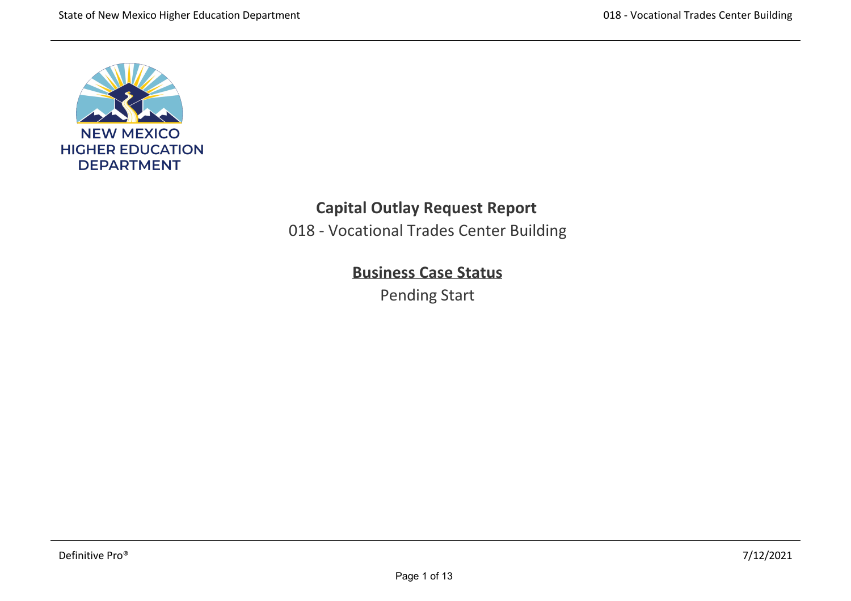

## **Capital Outlay Request Report**

018 ‐ Vocational Trades Center Building

# **Business Case Status**

Pending Start

and workplace development. A training facility designed for flexible and technologically‐advanced learning environments that is safe, accessible, healthy, comfortable, and aesthetically‐pleasing with the Carlsbad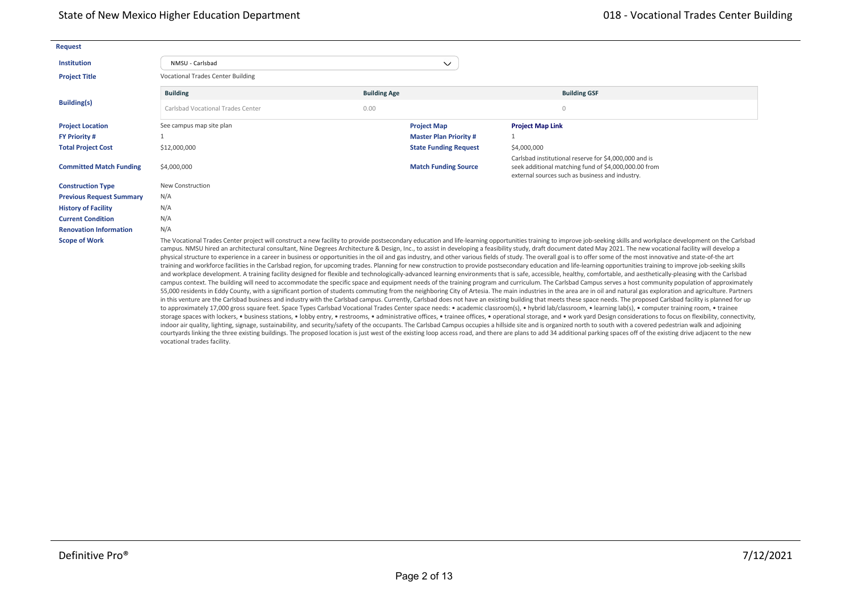| <b>Request</b>                  |                                                                                                                                                                                                                                                                                                                                                                                                                                                                                                                                                                                                                                                                                                                                                                                                                                                                                                                                                                                                                                                                                                                                                                                                                                                                                                                                                                                                                                                                                                                                                                                                                                                                                                                                                                                               |                     |                              |                                                                                                                                                                  |  |  |  |  |  |
|---------------------------------|-----------------------------------------------------------------------------------------------------------------------------------------------------------------------------------------------------------------------------------------------------------------------------------------------------------------------------------------------------------------------------------------------------------------------------------------------------------------------------------------------------------------------------------------------------------------------------------------------------------------------------------------------------------------------------------------------------------------------------------------------------------------------------------------------------------------------------------------------------------------------------------------------------------------------------------------------------------------------------------------------------------------------------------------------------------------------------------------------------------------------------------------------------------------------------------------------------------------------------------------------------------------------------------------------------------------------------------------------------------------------------------------------------------------------------------------------------------------------------------------------------------------------------------------------------------------------------------------------------------------------------------------------------------------------------------------------------------------------------------------------------------------------------------------------|---------------------|------------------------------|------------------------------------------------------------------------------------------------------------------------------------------------------------------|--|--|--|--|--|
| <b>Institution</b>              | NMSU - Carlsbad                                                                                                                                                                                                                                                                                                                                                                                                                                                                                                                                                                                                                                                                                                                                                                                                                                                                                                                                                                                                                                                                                                                                                                                                                                                                                                                                                                                                                                                                                                                                                                                                                                                                                                                                                                               |                     | $\checkmark$                 |                                                                                                                                                                  |  |  |  |  |  |
| <b>Project Title</b>            | <b>Vocational Trades Center Building</b>                                                                                                                                                                                                                                                                                                                                                                                                                                                                                                                                                                                                                                                                                                                                                                                                                                                                                                                                                                                                                                                                                                                                                                                                                                                                                                                                                                                                                                                                                                                                                                                                                                                                                                                                                      |                     |                              |                                                                                                                                                                  |  |  |  |  |  |
|                                 | <b>Building</b>                                                                                                                                                                                                                                                                                                                                                                                                                                                                                                                                                                                                                                                                                                                                                                                                                                                                                                                                                                                                                                                                                                                                                                                                                                                                                                                                                                                                                                                                                                                                                                                                                                                                                                                                                                               | <b>Building Age</b> |                              | <b>Building GSF</b>                                                                                                                                              |  |  |  |  |  |
| <b>Building(s)</b>              | Carlsbad Vocational Trades Center                                                                                                                                                                                                                                                                                                                                                                                                                                                                                                                                                                                                                                                                                                                                                                                                                                                                                                                                                                                                                                                                                                                                                                                                                                                                                                                                                                                                                                                                                                                                                                                                                                                                                                                                                             | 0.00                |                              | $\Omega$                                                                                                                                                         |  |  |  |  |  |
| <b>Project Location</b>         | See campus map site plan                                                                                                                                                                                                                                                                                                                                                                                                                                                                                                                                                                                                                                                                                                                                                                                                                                                                                                                                                                                                                                                                                                                                                                                                                                                                                                                                                                                                                                                                                                                                                                                                                                                                                                                                                                      |                     | <b>Project Map</b>           | <b>Project Map Link</b>                                                                                                                                          |  |  |  |  |  |
| <b>FY Priority #</b>            |                                                                                                                                                                                                                                                                                                                                                                                                                                                                                                                                                                                                                                                                                                                                                                                                                                                                                                                                                                                                                                                                                                                                                                                                                                                                                                                                                                                                                                                                                                                                                                                                                                                                                                                                                                                               |                     | <b>Master Plan Priority#</b> |                                                                                                                                                                  |  |  |  |  |  |
| <b>Total Project Cost</b>       | \$12,000,000                                                                                                                                                                                                                                                                                                                                                                                                                                                                                                                                                                                                                                                                                                                                                                                                                                                                                                                                                                                                                                                                                                                                                                                                                                                                                                                                                                                                                                                                                                                                                                                                                                                                                                                                                                                  |                     | <b>State Funding Request</b> | \$4,000,000                                                                                                                                                      |  |  |  |  |  |
| <b>Committed Match Funding</b>  | \$4,000,000                                                                                                                                                                                                                                                                                                                                                                                                                                                                                                                                                                                                                                                                                                                                                                                                                                                                                                                                                                                                                                                                                                                                                                                                                                                                                                                                                                                                                                                                                                                                                                                                                                                                                                                                                                                   |                     | <b>Match Funding Source</b>  | Carlsbad institutional reserve for \$4,000,000 and is<br>seek additional matching fund of \$4,000,000.00 from<br>external sources such as business and industry. |  |  |  |  |  |
| <b>Construction Type</b>        | New Construction                                                                                                                                                                                                                                                                                                                                                                                                                                                                                                                                                                                                                                                                                                                                                                                                                                                                                                                                                                                                                                                                                                                                                                                                                                                                                                                                                                                                                                                                                                                                                                                                                                                                                                                                                                              |                     |                              |                                                                                                                                                                  |  |  |  |  |  |
| <b>Previous Request Summary</b> | N/A                                                                                                                                                                                                                                                                                                                                                                                                                                                                                                                                                                                                                                                                                                                                                                                                                                                                                                                                                                                                                                                                                                                                                                                                                                                                                                                                                                                                                                                                                                                                                                                                                                                                                                                                                                                           |                     |                              |                                                                                                                                                                  |  |  |  |  |  |
| <b>History of Facility</b>      | N/A                                                                                                                                                                                                                                                                                                                                                                                                                                                                                                                                                                                                                                                                                                                                                                                                                                                                                                                                                                                                                                                                                                                                                                                                                                                                                                                                                                                                                                                                                                                                                                                                                                                                                                                                                                                           |                     |                              |                                                                                                                                                                  |  |  |  |  |  |
| <b>Current Condition</b>        | N/A                                                                                                                                                                                                                                                                                                                                                                                                                                                                                                                                                                                                                                                                                                                                                                                                                                                                                                                                                                                                                                                                                                                                                                                                                                                                                                                                                                                                                                                                                                                                                                                                                                                                                                                                                                                           |                     |                              |                                                                                                                                                                  |  |  |  |  |  |
| <b>Renovation Information</b>   | N/A                                                                                                                                                                                                                                                                                                                                                                                                                                                                                                                                                                                                                                                                                                                                                                                                                                                                                                                                                                                                                                                                                                                                                                                                                                                                                                                                                                                                                                                                                                                                                                                                                                                                                                                                                                                           |                     |                              |                                                                                                                                                                  |  |  |  |  |  |
| <b>Scope of Work</b>            | The Vocational Trades Center project will construct a new facility to provide postsecondary education and life-learning opportunities training to improve job-seeking skills and workplace development on the Carlsbad<br>campus. NMSU hired an architectural consultant, Nine Degrees Architecture & Design, Inc., to assist in developing a feasibility study, draft document dated May 2021. The new vocational facility will develop a<br>physical structure to experience in a career in business or opportunities in the oil and gas industry, and other various fields of study. The overall goal is to offer some of the most innovative and state-of-the art<br>training and workforce facilities in the Carlsbad region, for upcoming trades. Planning for new construction to provide postsecondary education and life-learning opportunities training to improve job-seeking skills<br>and workplace development. A training facility designed for flexible and technologically-advanced learning environments that is safe, accessible, healthy, comfortable, and aesthetically-pleasing with the Carlsbad<br>campus context. The building will need to accommodate the specific space and equipment needs of the training program and curriculum. The Carlsbad Campus serves a host community population of approximately<br>55,000 residents in Eddy County, with a significant portion of students commuting from the neighboring City of Artesia. The main industries in the area are in oil and natural gas exploration and agriculture. Partners<br>in this venture are the Carlsbad business and industry with the Carlsbad campus. Currently, Carlsbad does not have an existing building that meets these space needs. The proposed Carlsbad facility is planned for up |                     |                              |                                                                                                                                                                  |  |  |  |  |  |

to approximately 17,000 gross square feet. Space Types Carlsbad Vocational Trades Center space needs: • academic classroom(s), • hybrid lab/classroom, • learning lab(s), • computer training room, • trainee storage spaces with lockers, • business stations, • lobby entry, • restrooms, • administrative offices, • trainee offices, • operational storage, and • work yard Design considerations to focus on flexibility, connectivity, indoor air quality, lighting, signage, sustainability, and security/safety of the occupants. The Carlsbad Campus occupies a hillside site and is organized north to south with a covered pedestrian walk and adjoining courtyards linking the three existing buildings. The proposed location is just west of the existing loop access road, and there are plans to add 34 additional parking spaces off of the existing drive adjacent to the new vocational trades facility.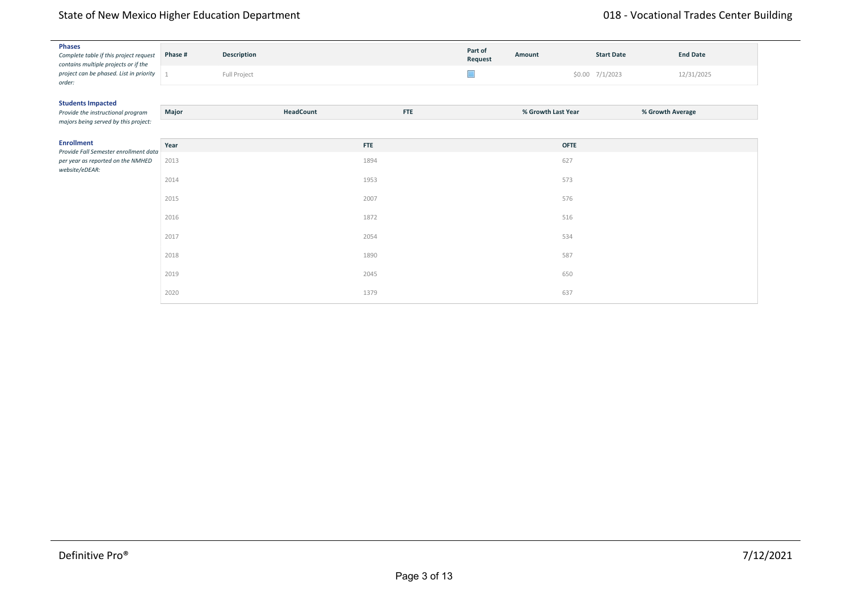#### storage spaces with lockers, • business stations, • lobby entry, • restrooms, • administrative offices, • trainee offices, • operational storage, and • work yard Design considerations to focus on flexibility, connectivity, State of New Mexico Higher Education Department

| <b>Phases</b><br>Complete table if this project request<br>contains multiple projects or if the | Phase # | Description  |            | Part of<br>Request | Amount             | <b>Start Date</b> | <b>End Date</b>  |
|-------------------------------------------------------------------------------------------------|---------|--------------|------------|--------------------|--------------------|-------------------|------------------|
| project can be phased. List in priority<br>order:                                               |         | Full Project |            | $\Box$             |                    | \$0.00 7/1/2023   | 12/31/2025       |
| <b>Students Impacted</b>                                                                        |         |              |            |                    |                    |                   |                  |
| Provide the instructional program<br>majors being served by this project:                       | Major   | HeadCount    | <b>FTE</b> |                    | % Growth Last Year |                   | % Growth Average |
| <b>Enrollment</b><br>Provide Fall Semester enrollment data                                      | Year    |              | <b>FTE</b> |                    | <b>OFTE</b>        |                   |                  |
| per year as reported on the NMHED<br>website/eDEAR:                                             | 2013    |              | 1894       |                    | 627                |                   |                  |
|                                                                                                 | 2014    |              | 1953       |                    | 573                |                   |                  |
|                                                                                                 | 2015    |              | 2007       |                    | 576                |                   |                  |
|                                                                                                 | 2016    |              | 1872       |                    | 516                |                   |                  |
|                                                                                                 | 2017    |              | 2054       |                    | 534                |                   |                  |
|                                                                                                 | 2018    |              | 1890       |                    | 587                |                   |                  |
|                                                                                                 | 2019    |              | 2045       |                    | 650                |                   |                  |
|                                                                                                 | 2020    |              | 1379       |                    | 637                |                   |                  |

for an increase in space. The master planning document emphasizes this project placed on vocational education and Aggie Pathways, noting that an expansion of trades may require an increase in space over the life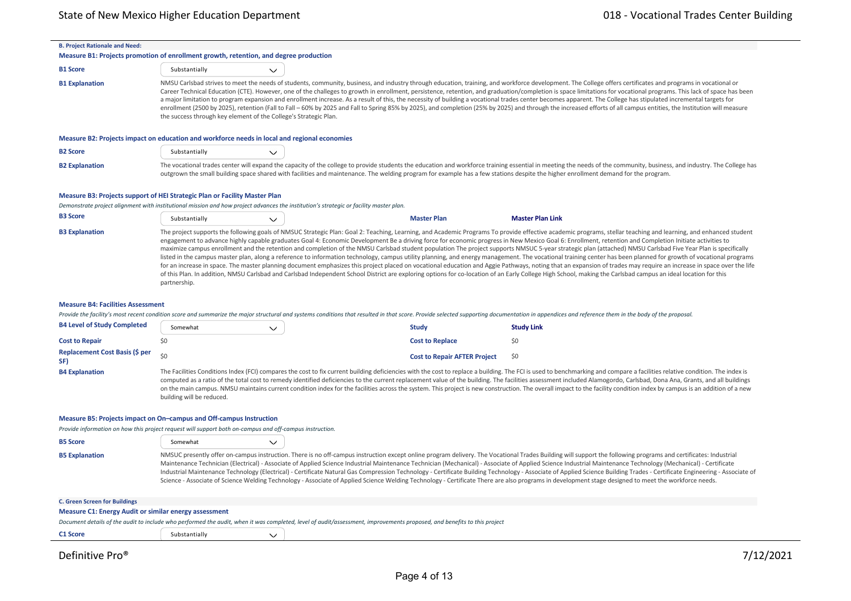$\overline{a}$ 

| <b>B. Project Rationale and Need:</b>                                                                                                                                          |                                                                                                                                                                                                                                                                                                                                                                                                                                                                                                                                                                                                                                                                                                                                                                                                                                                                                                                                                                                                                                                                                                                                                                                                                                                                                                                        |              |                                                                                                                                                                                                                                |                                                                                                                                                                                                                        |  |  |  |  |  |
|--------------------------------------------------------------------------------------------------------------------------------------------------------------------------------|------------------------------------------------------------------------------------------------------------------------------------------------------------------------------------------------------------------------------------------------------------------------------------------------------------------------------------------------------------------------------------------------------------------------------------------------------------------------------------------------------------------------------------------------------------------------------------------------------------------------------------------------------------------------------------------------------------------------------------------------------------------------------------------------------------------------------------------------------------------------------------------------------------------------------------------------------------------------------------------------------------------------------------------------------------------------------------------------------------------------------------------------------------------------------------------------------------------------------------------------------------------------------------------------------------------------|--------------|--------------------------------------------------------------------------------------------------------------------------------------------------------------------------------------------------------------------------------|------------------------------------------------------------------------------------------------------------------------------------------------------------------------------------------------------------------------|--|--|--|--|--|
| Measure B1: Projects promotion of enrollment growth, retention, and degree production                                                                                          |                                                                                                                                                                                                                                                                                                                                                                                                                                                                                                                                                                                                                                                                                                                                                                                                                                                                                                                                                                                                                                                                                                                                                                                                                                                                                                                        |              |                                                                                                                                                                                                                                |                                                                                                                                                                                                                        |  |  |  |  |  |
| <b>B1 Score</b>                                                                                                                                                                | Substantially                                                                                                                                                                                                                                                                                                                                                                                                                                                                                                                                                                                                                                                                                                                                                                                                                                                                                                                                                                                                                                                                                                                                                                                                                                                                                                          | $\checkmark$ |                                                                                                                                                                                                                                |                                                                                                                                                                                                                        |  |  |  |  |  |
| <b>B1 Explanation</b>                                                                                                                                                          | NMSU Carlsbad strives to meet the needs of students, community, business, and industry through education, training, and workforce development. The College offers certificates and programs in vocational or<br>Career Technical Education (CTE). However, one of the challeges to growth in enrollment, persistence, retention, and graduation/completion is space limitations for vocational programs. This lack of space has been<br>a major limitation to program expansion and enrollment increase. As a result of this, the necessity of building a vocational trades center becomes apparent. The College has stipulated incremental targets for<br>enrollment (2500 by 2025), retention (Fall to Fall - 60% by 2025 and Fall to Spring 85% by 2025), and completion (25% by 2025) and through the increased efforts of all campus entities, the Institution will measure<br>the success through key element of the College's Strategic Plan.                                                                                                                                                                                                                                                                                                                                                                   |              |                                                                                                                                                                                                                                |                                                                                                                                                                                                                        |  |  |  |  |  |
| Measure B2: Projects impact on education and workforce needs in local and regional economies                                                                                   |                                                                                                                                                                                                                                                                                                                                                                                                                                                                                                                                                                                                                                                                                                                                                                                                                                                                                                                                                                                                                                                                                                                                                                                                                                                                                                                        |              |                                                                                                                                                                                                                                |                                                                                                                                                                                                                        |  |  |  |  |  |
| <b>B2 Score</b>                                                                                                                                                                | Substantially                                                                                                                                                                                                                                                                                                                                                                                                                                                                                                                                                                                                                                                                                                                                                                                                                                                                                                                                                                                                                                                                                                                                                                                                                                                                                                          | $\checkmark$ |                                                                                                                                                                                                                                |                                                                                                                                                                                                                        |  |  |  |  |  |
| <b>B2 Explanation</b>                                                                                                                                                          |                                                                                                                                                                                                                                                                                                                                                                                                                                                                                                                                                                                                                                                                                                                                                                                                                                                                                                                                                                                                                                                                                                                                                                                                                                                                                                                        |              | outgrown the small building space shared with facilities and maintenance. The welding program for example has a few stations despite the higher enrollment demand for the program.                                             | The vocational trades center will expand the capacity of the college to provide students the education and workforce training essential in meeting the needs of the community, business, and industry. The College has |  |  |  |  |  |
| Measure B3: Projects support of HEI Strategic Plan or Facility Master Plan                                                                                                     |                                                                                                                                                                                                                                                                                                                                                                                                                                                                                                                                                                                                                                                                                                                                                                                                                                                                                                                                                                                                                                                                                                                                                                                                                                                                                                                        |              | Demonstrate project alignment with institutional mission and how project advances the institution's strategic or facility master plan.                                                                                         |                                                                                                                                                                                                                        |  |  |  |  |  |
| <b>B3 Score</b>                                                                                                                                                                | Substantially                                                                                                                                                                                                                                                                                                                                                                                                                                                                                                                                                                                                                                                                                                                                                                                                                                                                                                                                                                                                                                                                                                                                                                                                                                                                                                          | $\checkmark$ | <b>Master Plan</b>                                                                                                                                                                                                             | <b>Master Plan Link</b>                                                                                                                                                                                                |  |  |  |  |  |
| <b>B3 Explanation</b>                                                                                                                                                          | The project supports the following goals of NMSUC Strategic Plan: Goal 2: Teaching, Learning, and Academic Programs To provide effective academic programs, stellar teaching and learning, and enhanced student<br>engagement to advance highly capable graduates Goal 4: Economic Development Be a driving force for economic progress in New Mexico Goal 6: Enrollment, retention and Completion Initiate activities to<br>maximize campus enrollment and the retention and completion of the NMSU Carlsbad student population The project supports NMSUC 5-year strategic plan (attached) NMSU Carlsbad Five Year Plan is specifically<br>listed in the campus master plan, along a reference to information technology, campus utility planning, and energy management. The vocational training center has been planned for growth of vocational programs<br>for an increase in space. The master planning document emphasizes this project placed on vocational education and Aggie Pathways, noting that an expansion of trades may require an increase in space over the life<br>of this Plan. In addition, NMSU Carlsbad and Carlsbad Independent School District are exploring options for co-location of an Early College High School, making the Carlsbad campus an ideal location for this<br>partnership. |              |                                                                                                                                                                                                                                |                                                                                                                                                                                                                        |  |  |  |  |  |
| <b>Measure B4: Facilities Assessment</b>                                                                                                                                       |                                                                                                                                                                                                                                                                                                                                                                                                                                                                                                                                                                                                                                                                                                                                                                                                                                                                                                                                                                                                                                                                                                                                                                                                                                                                                                                        |              |                                                                                                                                                                                                                                |                                                                                                                                                                                                                        |  |  |  |  |  |
|                                                                                                                                                                                |                                                                                                                                                                                                                                                                                                                                                                                                                                                                                                                                                                                                                                                                                                                                                                                                                                                                                                                                                                                                                                                                                                                                                                                                                                                                                                                        |              | Provide the facility's most recent condition score and summarize the major structural and systems conditions that resulted in that score. Provide selected supporting documentation in appendices and reference them in the bo |                                                                                                                                                                                                                        |  |  |  |  |  |
| <b>B4 Level of Study Completed</b>                                                                                                                                             | Somewhat                                                                                                                                                                                                                                                                                                                                                                                                                                                                                                                                                                                                                                                                                                                                                                                                                                                                                                                                                                                                                                                                                                                                                                                                                                                                                                               | $\checkmark$ | <b>Study</b>                                                                                                                                                                                                                   | <b>Study Link</b>                                                                                                                                                                                                      |  |  |  |  |  |
| <b>Cost to Repair</b>                                                                                                                                                          | \$0                                                                                                                                                                                                                                                                                                                                                                                                                                                                                                                                                                                                                                                                                                                                                                                                                                                                                                                                                                                                                                                                                                                                                                                                                                                                                                                    |              | <b>Cost to Replace</b>                                                                                                                                                                                                         | \$0                                                                                                                                                                                                                    |  |  |  |  |  |
| <b>Replacement Cost Basis (\$ per</b><br>SF)                                                                                                                                   | \$0                                                                                                                                                                                                                                                                                                                                                                                                                                                                                                                                                                                                                                                                                                                                                                                                                                                                                                                                                                                                                                                                                                                                                                                                                                                                                                                    |              | <b>Cost to Repair AFTER Project</b>                                                                                                                                                                                            | \$0                                                                                                                                                                                                                    |  |  |  |  |  |
| <b>B4 Explanation</b>                                                                                                                                                          | The Facilities Conditions Index (FCI) compares the cost to fix current building deficiencies with the cost to replace a building. The FCI is used to benchmarking and compare a facilities relative condition. The index is<br>computed as a ratio of the total cost to remedy identified deficiencies to the current replacement value of the building. The facilities assessment included Alamogordo, Carlsbad, Dona Ana, Grants, and all buildings<br>on the main campus. NMSU maintains current condition index for the facilities across the system. This project is new construction. The overall impact to the facility condition index by campus is an addition of a new<br>building will be reduced.                                                                                                                                                                                                                                                                                                                                                                                                                                                                                                                                                                                                          |              |                                                                                                                                                                                                                                |                                                                                                                                                                                                                        |  |  |  |  |  |
| Measure B5: Projects impact on On-campus and Off-campus Instruction<br>Provide information on how this project request will support both on-campus and off-campus instruction. |                                                                                                                                                                                                                                                                                                                                                                                                                                                                                                                                                                                                                                                                                                                                                                                                                                                                                                                                                                                                                                                                                                                                                                                                                                                                                                                        |              |                                                                                                                                                                                                                                |                                                                                                                                                                                                                        |  |  |  |  |  |
| <b>B5 Score</b>                                                                                                                                                                | Somewhat                                                                                                                                                                                                                                                                                                                                                                                                                                                                                                                                                                                                                                                                                                                                                                                                                                                                                                                                                                                                                                                                                                                                                                                                                                                                                                               | $\checkmark$ |                                                                                                                                                                                                                                |                                                                                                                                                                                                                        |  |  |  |  |  |
| <b>B5 Explanation</b>                                                                                                                                                          | NMSUC presently offer on-campus instruction. There is no off-campus instruction except online program delivery. The Vocational Trades Building will support the following programs and certificates: Industrial<br>Maintenance Technician (Electrical) - Associate of Applied Science Industrial Maintenance Technician (Mechanical) - Associate of Applied Science Industrial Maintenance Technology (Mechanical) - Certificate                                                                                                                                                                                                                                                                                                                                                                                                                                                                                                                                                                                                                                                                                                                                                                                                                                                                                       |              |                                                                                                                                                                                                                                |                                                                                                                                                                                                                        |  |  |  |  |  |

Industrial Maintenance Technology (Electrical) ‐ Certificate Natural Gas Compression Technology ‐ Certificate Building Technology ‐ Associate of Applied Science Building Trades ‐ Certificate Engineering ‐ Associate of Science - Associate of Science Welding Technology - Associate of Applied Science Welding Technology - Certificate There are also programs in development stage designed to meet the workforce needs.

| . <u>.</u> .                                                 |               | 711212                                                                                                                                                                  |
|--------------------------------------------------------------|---------------|-------------------------------------------------------------------------------------------------------------------------------------------------------------------------|
| C1 Score                                                     | Substantially |                                                                                                                                                                         |
|                                                              |               | Document details of the audit to include who performed the audit, when it was completed, level of audit/assessment, improvements proposed, and benefits to this project |
| <b>Measure C1: Energy Audit or similar energy assessment</b> |               |                                                                                                                                                                         |
| <b>C. Green Screen for Buildings</b>                         |               |                                                                                                                                                                         |
|                                                              |               |                                                                                                                                                                         |

 $\overline{\phantom{0}}$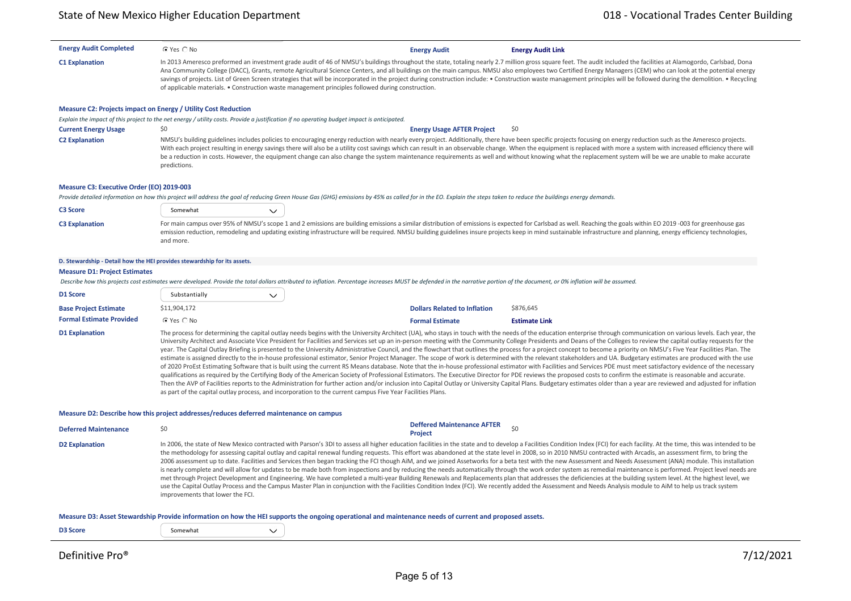| <b>Energy Audit Completed</b>             | C Yes C No                                                                                                                                                                                                                                                                                                                                                                                                                                                                                                                                                                                                                                                                                                                                                                                                                                                                                                                                                                                                                                                                                                                                                                                                                                                                                                                                                                                                                                                                                                                                                                                                                                                                                      | <b>Energy Audit</b>                                                                                                                                                                                                           | <b>Energy Audit Link</b>                                                                                                                                                                                                                                                                                                                                                                                                                                                                                                                                                                                                                                          |  |  |  |  |  |
|-------------------------------------------|-------------------------------------------------------------------------------------------------------------------------------------------------------------------------------------------------------------------------------------------------------------------------------------------------------------------------------------------------------------------------------------------------------------------------------------------------------------------------------------------------------------------------------------------------------------------------------------------------------------------------------------------------------------------------------------------------------------------------------------------------------------------------------------------------------------------------------------------------------------------------------------------------------------------------------------------------------------------------------------------------------------------------------------------------------------------------------------------------------------------------------------------------------------------------------------------------------------------------------------------------------------------------------------------------------------------------------------------------------------------------------------------------------------------------------------------------------------------------------------------------------------------------------------------------------------------------------------------------------------------------------------------------------------------------------------------------|-------------------------------------------------------------------------------------------------------------------------------------------------------------------------------------------------------------------------------|-------------------------------------------------------------------------------------------------------------------------------------------------------------------------------------------------------------------------------------------------------------------------------------------------------------------------------------------------------------------------------------------------------------------------------------------------------------------------------------------------------------------------------------------------------------------------------------------------------------------------------------------------------------------|--|--|--|--|--|
| <b>C1 Explanation</b>                     | of applicable materials. • Construction waste management principles followed during construction.                                                                                                                                                                                                                                                                                                                                                                                                                                                                                                                                                                                                                                                                                                                                                                                                                                                                                                                                                                                                                                                                                                                                                                                                                                                                                                                                                                                                                                                                                                                                                                                               |                                                                                                                                                                                                                               | In 2013 Ameresco preformed an investment grade audit of 46 of NMSU's buildings throughout the state, totaling nearly 2.7 million gross square feet. The audit included the facilities at Alamogordo, Carlsbad, Dona<br>Ana Community College (DACC), Grants, remote Agricultural Science Centers, and all buildings on the main campus. NMSU also employees two Certified Energy Managers (CEM) who can look at the potential energy<br>savings of projects. List of Green Screen strategies that will be incorporated in the project during construction include: . Construction waste management principles will be followed during the demolition. . Recycling |  |  |  |  |  |
|                                           | Measure C2: Projects impact on Energy / Utility Cost Reduction                                                                                                                                                                                                                                                                                                                                                                                                                                                                                                                                                                                                                                                                                                                                                                                                                                                                                                                                                                                                                                                                                                                                                                                                                                                                                                                                                                                                                                                                                                                                                                                                                                  |                                                                                                                                                                                                                               |                                                                                                                                                                                                                                                                                                                                                                                                                                                                                                                                                                                                                                                                   |  |  |  |  |  |
|                                           | Explain the impact of this project to the net energy / utility costs. Provide a justification if no operating budget impact is anticipated.                                                                                                                                                                                                                                                                                                                                                                                                                                                                                                                                                                                                                                                                                                                                                                                                                                                                                                                                                                                                                                                                                                                                                                                                                                                                                                                                                                                                                                                                                                                                                     |                                                                                                                                                                                                                               |                                                                                                                                                                                                                                                                                                                                                                                                                                                                                                                                                                                                                                                                   |  |  |  |  |  |
| <b>Current Energy Usage</b>               | \$0                                                                                                                                                                                                                                                                                                                                                                                                                                                                                                                                                                                                                                                                                                                                                                                                                                                                                                                                                                                                                                                                                                                                                                                                                                                                                                                                                                                                                                                                                                                                                                                                                                                                                             | <b>Energy Usage AFTER Project</b>                                                                                                                                                                                             | \$0                                                                                                                                                                                                                                                                                                                                                                                                                                                                                                                                                                                                                                                               |  |  |  |  |  |
| <b>C2 Explanation</b>                     | predictions.                                                                                                                                                                                                                                                                                                                                                                                                                                                                                                                                                                                                                                                                                                                                                                                                                                                                                                                                                                                                                                                                                                                                                                                                                                                                                                                                                                                                                                                                                                                                                                                                                                                                                    |                                                                                                                                                                                                                               | NMSU's building guidelines includes policies to encouraging energy reduction with nearly every project. Additionally, there have been specific projects focusing on energy reduction such as the Ameresco projects.<br>With each project resulting in energy savings there will also be a utility cost savings which can result in an observable change. When the equipment is replaced with more a system with increased efficiency there will<br>be a reduction in costs. However, the equipment change can also change the system maintenance requirements as well and without knowing what the replacement system will be we are unable to make accurate      |  |  |  |  |  |
| Measure C3: Executive Order (EO) 2019-003 |                                                                                                                                                                                                                                                                                                                                                                                                                                                                                                                                                                                                                                                                                                                                                                                                                                                                                                                                                                                                                                                                                                                                                                                                                                                                                                                                                                                                                                                                                                                                                                                                                                                                                                 |                                                                                                                                                                                                                               |                                                                                                                                                                                                                                                                                                                                                                                                                                                                                                                                                                                                                                                                   |  |  |  |  |  |
|                                           |                                                                                                                                                                                                                                                                                                                                                                                                                                                                                                                                                                                                                                                                                                                                                                                                                                                                                                                                                                                                                                                                                                                                                                                                                                                                                                                                                                                                                                                                                                                                                                                                                                                                                                 | Provide detailed information on how this project will address the goal of reducing Green House Gas (GHG) emissions by 45% as called for in the EO. Explain the steps taken to reduce the buildings energy demands.            |                                                                                                                                                                                                                                                                                                                                                                                                                                                                                                                                                                                                                                                                   |  |  |  |  |  |
| C3 Score                                  | Somewhat<br>$\checkmark$                                                                                                                                                                                                                                                                                                                                                                                                                                                                                                                                                                                                                                                                                                                                                                                                                                                                                                                                                                                                                                                                                                                                                                                                                                                                                                                                                                                                                                                                                                                                                                                                                                                                        |                                                                                                                                                                                                                               |                                                                                                                                                                                                                                                                                                                                                                                                                                                                                                                                                                                                                                                                   |  |  |  |  |  |
| <b>C3 Explanation</b>                     | and more.                                                                                                                                                                                                                                                                                                                                                                                                                                                                                                                                                                                                                                                                                                                                                                                                                                                                                                                                                                                                                                                                                                                                                                                                                                                                                                                                                                                                                                                                                                                                                                                                                                                                                       |                                                                                                                                                                                                                               | For main campus over 95% of NMSU's scope 1 and 2 emissions are building emissions a similar distribution of emissions is expected for Carlsbad as well. Reaching the goals within EO 2019 -003 for greenhouse gas<br>emission reduction, remodeling and updating existing infrastructure will be required. NMSU building guidelines insure projects keep in mind sustainable infrastructure and planning, energy efficiency technologies,                                                                                                                                                                                                                         |  |  |  |  |  |
|                                           | D. Stewardship - Detail how the HEI provides stewardship for its assets.                                                                                                                                                                                                                                                                                                                                                                                                                                                                                                                                                                                                                                                                                                                                                                                                                                                                                                                                                                                                                                                                                                                                                                                                                                                                                                                                                                                                                                                                                                                                                                                                                        |                                                                                                                                                                                                                               |                                                                                                                                                                                                                                                                                                                                                                                                                                                                                                                                                                                                                                                                   |  |  |  |  |  |
| <b>Measure D1: Project Estimates</b>      |                                                                                                                                                                                                                                                                                                                                                                                                                                                                                                                                                                                                                                                                                                                                                                                                                                                                                                                                                                                                                                                                                                                                                                                                                                                                                                                                                                                                                                                                                                                                                                                                                                                                                                 |                                                                                                                                                                                                                               |                                                                                                                                                                                                                                                                                                                                                                                                                                                                                                                                                                                                                                                                   |  |  |  |  |  |
|                                           |                                                                                                                                                                                                                                                                                                                                                                                                                                                                                                                                                                                                                                                                                                                                                                                                                                                                                                                                                                                                                                                                                                                                                                                                                                                                                                                                                                                                                                                                                                                                                                                                                                                                                                 | Describe how this projects cost estimates were developed. Provide the total dollars attributed to inflation. Percentage increases MUST be defended in the narrative portion of the document, or 0% inflation will be assumed. |                                                                                                                                                                                                                                                                                                                                                                                                                                                                                                                                                                                                                                                                   |  |  |  |  |  |
| D1 Score                                  | Substantially<br>$\checkmark$                                                                                                                                                                                                                                                                                                                                                                                                                                                                                                                                                                                                                                                                                                                                                                                                                                                                                                                                                                                                                                                                                                                                                                                                                                                                                                                                                                                                                                                                                                                                                                                                                                                                   |                                                                                                                                                                                                                               |                                                                                                                                                                                                                                                                                                                                                                                                                                                                                                                                                                                                                                                                   |  |  |  |  |  |
| <b>Base Project Estimate</b>              | \$11,904,172                                                                                                                                                                                                                                                                                                                                                                                                                                                                                                                                                                                                                                                                                                                                                                                                                                                                                                                                                                                                                                                                                                                                                                                                                                                                                                                                                                                                                                                                                                                                                                                                                                                                                    | <b>Dollars Related to Inflation</b>                                                                                                                                                                                           | \$876,645                                                                                                                                                                                                                                                                                                                                                                                                                                                                                                                                                                                                                                                         |  |  |  |  |  |
| <b>Formal Estimate Provided</b>           | C Yes C No                                                                                                                                                                                                                                                                                                                                                                                                                                                                                                                                                                                                                                                                                                                                                                                                                                                                                                                                                                                                                                                                                                                                                                                                                                                                                                                                                                                                                                                                                                                                                                                                                                                                                      | <b>Formal Estimate</b>                                                                                                                                                                                                        | <b>Estimate Link</b>                                                                                                                                                                                                                                                                                                                                                                                                                                                                                                                                                                                                                                              |  |  |  |  |  |
| <b>D1 Explanation</b>                     | The process for determining the capital outlay needs begins with the University Architect (UA), who stays in touch with the needs of the education enterprise through communication on various levels. Each year, the<br>University Architect and Associate Vice President for Facilities and Services set up an in-person meeting with the Community College Presidents and Deans of the Colleges to review the capital outlay requests for the<br>year. The Capital Outlay Briefing is presented to the University Administrative Council, and the flowchart that outlines the process for a project concept to become a priority on NMSU's Five Year Facilities Plan. The<br>estimate is assigned directly to the in-house professional estimator, Senior Project Manager. The scope of work is determined with the relevant stakeholders and UA. Budgetary estimates are produced with the use<br>of 2020 ProEst Estimating Software that is built using the current RS Means database. Note that the in-house professional estimator with Facilities and Services PDE must meet satisfactory evidence of the necessary<br>qualifications as required by the Certifying Body of the American Society of Professional Estimators. The Executive Director for PDE reviews the proposed costs to confirm the estimate is reasonable and accurate.<br>Then the AVP of Facilities reports to the Administration for further action and/or inclusion into Capital Outlay or University Capital Plans. Budgetary estimates older than a year are reviewed and adjusted for inflation<br>as part of the capital outlay process, and incorporation to the current campus Five Year Facilities Plans. |                                                                                                                                                                                                                               |                                                                                                                                                                                                                                                                                                                                                                                                                                                                                                                                                                                                                                                                   |  |  |  |  |  |
|                                           | Measure D2: Describe how this project addresses/reduces deferred maintenance on campus                                                                                                                                                                                                                                                                                                                                                                                                                                                                                                                                                                                                                                                                                                                                                                                                                                                                                                                                                                                                                                                                                                                                                                                                                                                                                                                                                                                                                                                                                                                                                                                                          |                                                                                                                                                                                                                               |                                                                                                                                                                                                                                                                                                                                                                                                                                                                                                                                                                                                                                                                   |  |  |  |  |  |
| <b>Deferred Maintenance</b>               | \$0                                                                                                                                                                                                                                                                                                                                                                                                                                                                                                                                                                                                                                                                                                                                                                                                                                                                                                                                                                                                                                                                                                                                                                                                                                                                                                                                                                                                                                                                                                                                                                                                                                                                                             | <b>Deffered Maintenance AFTER</b><br><b>Project</b>                                                                                                                                                                           | \$0                                                                                                                                                                                                                                                                                                                                                                                                                                                                                                                                                                                                                                                               |  |  |  |  |  |
| <b>D2 Explanation</b>                     | In 2006, the state of New Mexico contracted with Parson's 3DI to assess all higher education facilities in the state and to develop a Facilities Condition Index (FCI) for each facility. At the time, this was intended to be<br>the methodology for assessing capital outlay and capital renewal funding requests. This effort was abandoned at the state level in 2008, so in 2010 NMSU contracted with Arcadis, an assessment firm, to bring the<br>2006 assessment up to date. Facilities and Services then began tracking the FCI though AiM, and we joined Assetworks for a beta test with the new Assessment and Needs Assessment (ANA) module. This installation<br>is nearly complete and will allow for updates to be made both from inspections and by reducing the needs automatically through the work order system as remedial maintenance is performed. Project level needs are<br>met through Project Development and Engineering. We have completed a multi-year Building Renewals and Replacements plan that addresses the deficiencies at the building system level. At the highest level, we<br>use the Capital Outlay Process and the Campus Master Plan in conjunction with the Facilities Condition Index (FCI). We recently added the Assessment and Needs Analysis module to AiM to help us track system<br>improvements that lower the FCI.                                                                                                                                                                                                                                                                                                                          |                                                                                                                                                                                                                               |                                                                                                                                                                                                                                                                                                                                                                                                                                                                                                                                                                                                                                                                   |  |  |  |  |  |
|                                           |                                                                                                                                                                                                                                                                                                                                                                                                                                                                                                                                                                                                                                                                                                                                                                                                                                                                                                                                                                                                                                                                                                                                                                                                                                                                                                                                                                                                                                                                                                                                                                                                                                                                                                 | Measure D3: Asset Stewardship Provide information on how the HEI supports the ongoing operational and maintenance needs of current and proposed assets.                                                                       |                                                                                                                                                                                                                                                                                                                                                                                                                                                                                                                                                                                                                                                                   |  |  |  |  |  |
| D3 Score                                  | Somewhat<br>$\checkmark$                                                                                                                                                                                                                                                                                                                                                                                                                                                                                                                                                                                                                                                                                                                                                                                                                                                                                                                                                                                                                                                                                                                                                                                                                                                                                                                                                                                                                                                                                                                                                                                                                                                                        |                                                                                                                                                                                                                               |                                                                                                                                                                                                                                                                                                                                                                                                                                                                                                                                                                                                                                                                   |  |  |  |  |  |
|                                           |                                                                                                                                                                                                                                                                                                                                                                                                                                                                                                                                                                                                                                                                                                                                                                                                                                                                                                                                                                                                                                                                                                                                                                                                                                                                                                                                                                                                                                                                                                                                                                                                                                                                                                 |                                                                                                                                                                                                                               |                                                                                                                                                                                                                                                                                                                                                                                                                                                                                                                                                                                                                                                                   |  |  |  |  |  |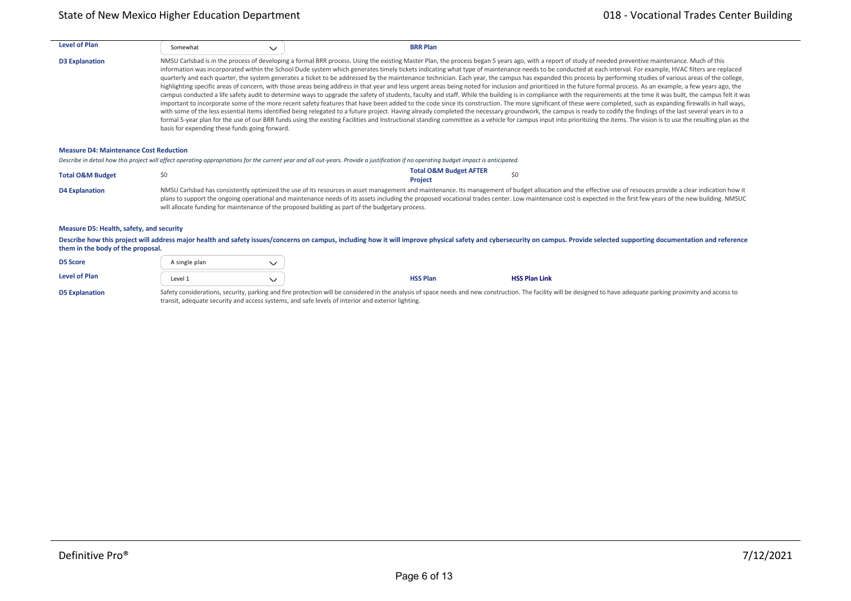| <b>Level of Plan</b>  | Somewhat<br>$\checkmark$                       | <b>BRR Plan</b> |                                                                                                                                                                                                                                                                                                                                                                                                                                                                                                                                                                                                                                                                                                                                                                                                                                                                                                                                                                                                                                                                                                                                                                                                                                                                                                                                                                                                                                                                                                                                                                                                                                                                                                                                                                               |
|-----------------------|------------------------------------------------|-----------------|-------------------------------------------------------------------------------------------------------------------------------------------------------------------------------------------------------------------------------------------------------------------------------------------------------------------------------------------------------------------------------------------------------------------------------------------------------------------------------------------------------------------------------------------------------------------------------------------------------------------------------------------------------------------------------------------------------------------------------------------------------------------------------------------------------------------------------------------------------------------------------------------------------------------------------------------------------------------------------------------------------------------------------------------------------------------------------------------------------------------------------------------------------------------------------------------------------------------------------------------------------------------------------------------------------------------------------------------------------------------------------------------------------------------------------------------------------------------------------------------------------------------------------------------------------------------------------------------------------------------------------------------------------------------------------------------------------------------------------------------------------------------------------|
| <b>D3 Explanation</b> | basis for expending these funds going forward. |                 | NMSU Carlsbad is in the process of developing a formal BRR process. Using the existing Master Plan, the process began 5 years ago, with a report of study of needed preventive maintenance. Much of this<br>information was incorporated within the School Dude system which generates timely tickets indicating what type of maintenance needs to be conducted at each interval. For example, HVAC filters are replaced<br>quarterly and each quarter, the system generates a ticket to be addressed by the maintenance technician. Each year, the campus has expanded this process by performing studies of various areas of the college,<br>highlighting specific areas of concern, with those areas being address in that year and less urgent areas being noted for inclusion and prioritized in the future formal process. As an example, a few years ago, the<br>campus conducted a life safety audit to determine ways to upgrade the safety of students, faculty and staff. While the building is in compliance with the requirements at the time it was built, the campus felt it was<br>important to incorporate some of the more recent safety features that have been added to the code since its construction. The more significant of these were completed, such as expanding firewalls in hall ways,<br>with some of the less essential items identified being relegated to a future project. Having already completed the necessary groundwork, the campus is ready to codify the findings of the last several years in to a<br>formal 5-year plan for the use of our BRR funds using the existing Facilities and Instructional standing committee as a vehicle for campus input into prioritizing the items. The vision is to use the resulting plan as the |

#### **Measure D4: Maintenance Cost Reduction**

*Describe in detail how this project will affect operating appropriations for the current year and all out‐years. Provide a justification if no operating budget impact is anticipated.*

**Internal Services \$** \$0 \$0 \$0 \$0 \$0 \$0

| <b>Total O&amp;M Budget</b> |                                                                                                                                                                                                                  | <b>Total O&amp;M Budget AFTER</b> |  |  |  |  |  |
|-----------------------------|------------------------------------------------------------------------------------------------------------------------------------------------------------------------------------------------------------------|-----------------------------------|--|--|--|--|--|
|                             |                                                                                                                                                                                                                  | Project                           |  |  |  |  |  |
| <b>D4 Explanation</b>       | NMSU Carlsbad has consistently optimized the use of its resources in asset management and maintenance. Its management of budget allocation and the effective use of resouces provide a clear indication how it   |                                   |  |  |  |  |  |
|                             | plans to support the ongoing operational and maintenance needs of its assets including the proposed vocational trades center. Low maintenance cost is expected in the first few years of the new building. NMSUC |                                   |  |  |  |  |  |
|                             | will allocate funding for maintenance of the proposed building as part of the budgetary process.                                                                                                                 |                                   |  |  |  |  |  |

### **Measure D5: Health, safety, and security**

Describe how this project will address major health and safety issues/concerns on campus, including how it will improve physical safety and cybersecurity on campus. Provide selected supporting documentation and reference **them in the body of the proposal.**

| <b>D5 Explanation</b> |               |                 | Safety considerations, security, parking and fire protection will be considered in the analysis of space needs and new construction. The facility will be designed to have adequate parking |
|-----------------------|---------------|-----------------|---------------------------------------------------------------------------------------------------------------------------------------------------------------------------------------------|
| <b>Level of Plan</b>  | Level 1       | <b>HSS Plan</b> | <b>HSS Plan Link</b>                                                                                                                                                                        |
| <b>D5 Score</b>       | A single plan |                 |                                                                                                                                                                                             |

D5 Explanation Safety considerations, security, parking and fire protection will be considered in the analysis of space needs and new construction. The facility will be designed to have adequate parking proximity and acces transit, adequate security and access systems, and safe levels of interior and exterior lighting.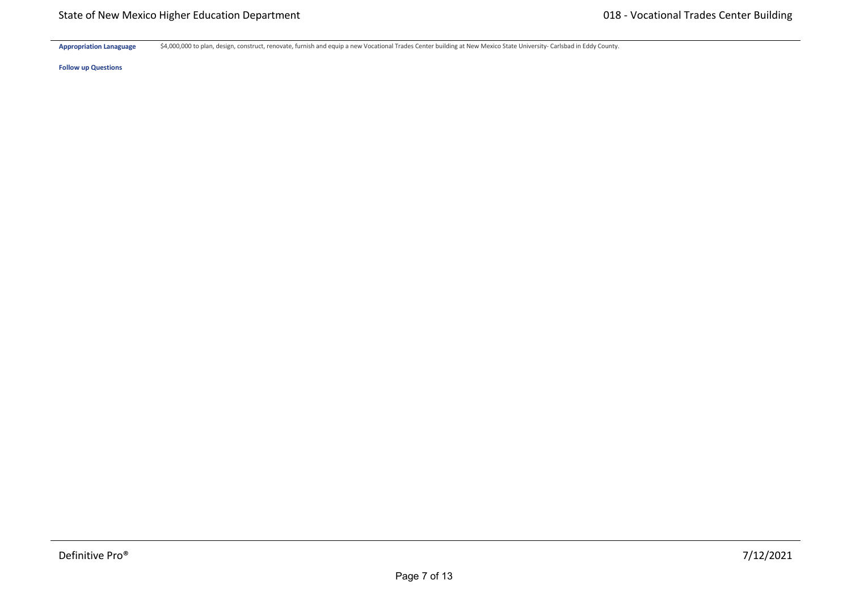Appropriation Lanaguage \$4,000,000 to plan, design, construct, renovate, furnish and equip a new Vocational Trades Center building at New Mexico State University‐ Carlsbad in Eddy County.

**Hardware \$** \$0 \$0 \$0 \$0 \$0 \$0

**Follow up Questions**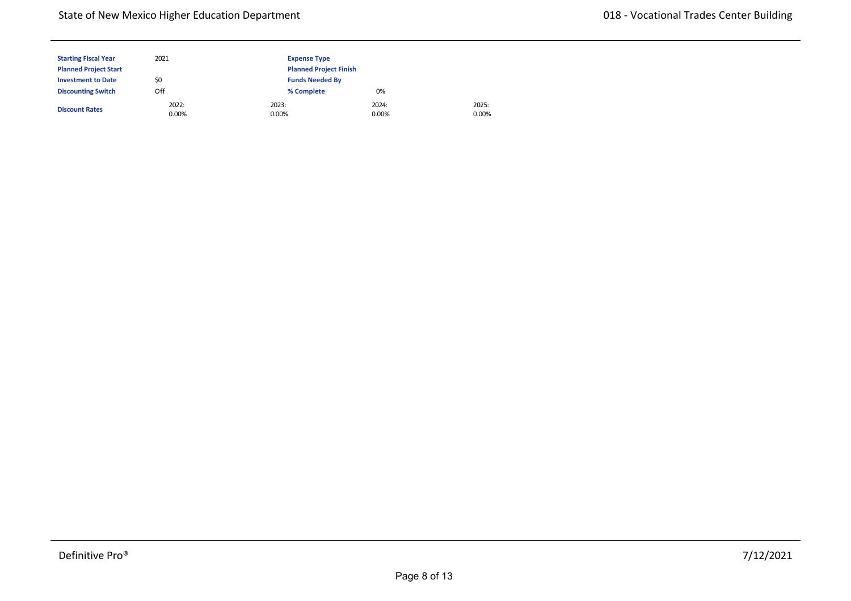| <b>Starting Fiscal Year</b>  | 2021           | <b>Expense Type</b> |                               |                |  |  |
|------------------------------|----------------|---------------------|-------------------------------|----------------|--|--|
| <b>Planned Project Start</b> |                |                     | <b>Planned Project Finish</b> |                |  |  |
| <b>Investment to Date</b>    | \$0            |                     | <b>Funds Needed By</b>        |                |  |  |
| <b>Discounting Switch</b>    | Off            | % Complete          | 0%                            |                |  |  |
| <b>Discount Rates</b>        | 2022:<br>0.00% | 2023:<br>0.00%      | 2024:<br>0.00%                | 2025:<br>0.00% |  |  |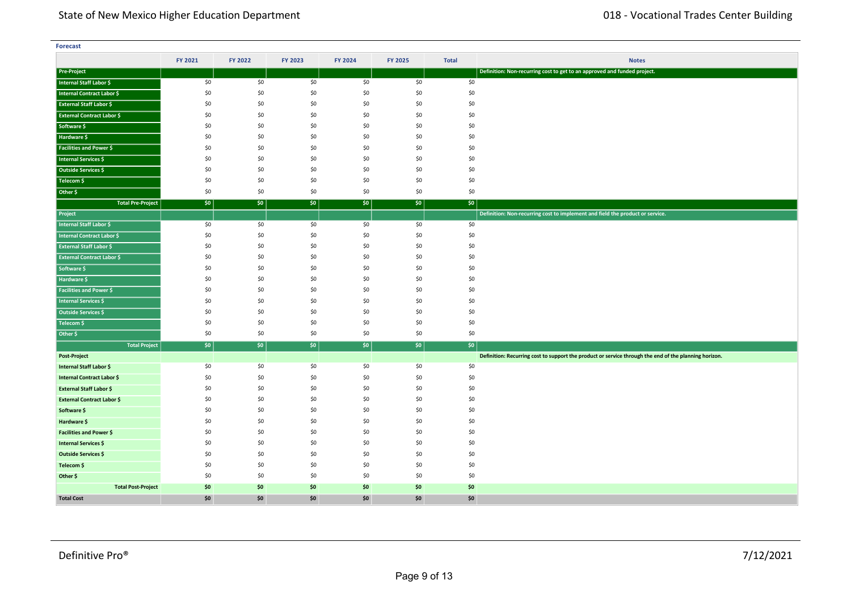| <b>Forecast</b>                   |         |         |         |         |         |              |                                                                                                       |
|-----------------------------------|---------|---------|---------|---------|---------|--------------|-------------------------------------------------------------------------------------------------------|
|                                   | FY 2021 | FY 2022 | FY 2023 | FY 2024 | FY 2025 | <b>Total</b> | <b>Notes</b>                                                                                          |
| <b>Pre-Project</b>                |         |         |         |         |         |              | Definition: Non-recurring cost to get to an approved and funded project.                              |
| Internal Staff Labor \$           | \$0     | \$0     | \$0     | \$0     | \$0     | \$0          |                                                                                                       |
| Internal Contract Labor \$        | \$0     | \$0     | \$0     | \$0     | \$0     | \$0          |                                                                                                       |
| <b>External Staff Labor \$</b>    | \$0     | \$0     | \$0     | \$0     | \$0     | \$0          |                                                                                                       |
| <b>External Contract Labor \$</b> | \$0     | \$0     | \$0     | \$0     | \$0     | \$0          |                                                                                                       |
| Software \$                       | \$0     | \$0     | \$0     | \$0     | \$0     | \$0          |                                                                                                       |
| Hardware \$                       | \$0     | \$0     | \$0     | \$0     | \$0     | \$0          |                                                                                                       |
| Facilities and Power \$           | \$0     | \$0     | \$0     | \$0     | \$0     | \$0          |                                                                                                       |
| <b>Internal Services \$</b>       | \$0     | \$0     | \$0     | \$0     | \$0     | \$0          |                                                                                                       |
| Outside Services \$               | \$0     | \$0     | \$0     | \$0     | \$0     | \$0          |                                                                                                       |
| Telecom \$                        | \$0     | \$0     | \$0     | \$0     | \$0     | \$0          |                                                                                                       |
| Other \$                          | \$0     | \$0     | \$0     | \$0     | \$0     | \$0          |                                                                                                       |
| <b>Total Pre-Project</b>          | \$0     | \$0     | \$0     | \$0     | \$0     | \$0          |                                                                                                       |
| Project                           |         |         |         |         |         |              | Definition: Non-recurring cost to implement and field the product or service.                         |
| <b>Internal Staff Labor \$</b>    | \$0     | \$0     | \$0     | \$0     | \$0     | \$0          |                                                                                                       |
| <b>Internal Contract Labor \$</b> | \$0     | \$0     | \$0     | \$0     | \$0     | \$0          |                                                                                                       |
| <b>External Staff Labor \$</b>    | \$0     | \$0     | \$0     | \$0     | \$0     | \$0          |                                                                                                       |
| <b>External Contract Labor \$</b> | \$0     | \$0     | \$0     | \$0     | \$0     | \$0          |                                                                                                       |
| Software \$                       | \$0     | \$0     | \$0     | \$0     | \$0     | \$0          |                                                                                                       |
| Hardware \$                       | \$0     | \$0     | \$0     | \$0     | \$0     | \$0          |                                                                                                       |
| <b>Facilities and Power \$</b>    | \$0     | \$0     | \$0     | \$0     | \$0     | \$0          |                                                                                                       |
| <b>Internal Services \$</b>       | \$0     | \$0     | \$0     | \$0     | \$0     | \$0          |                                                                                                       |
| Outside Services \$               | \$0     | \$0     | \$0     | \$0     | \$0     | \$0          |                                                                                                       |
| Telecom \$                        | \$0     | \$0     | \$0     | \$0     | \$0     | \$0          |                                                                                                       |
| Other \$                          | \$0     | \$0     | \$0     | \$0     | \$0     | \$0          |                                                                                                       |
| <b>Total Project</b>              | \$0     | \$0     | \$0     | \$0     | $ $ \$0 | \$0          |                                                                                                       |
| Post-Project                      |         |         |         |         |         |              | Definition: Recurring cost to support the product or service through the end of the planning horizon. |
| Internal Staff Labor \$           | \$0     | \$0     | \$0     | \$0     | \$0     | \$0          |                                                                                                       |
| <b>Internal Contract Labor \$</b> | \$0     | \$0     | \$0     | \$0     | \$0     | \$0          |                                                                                                       |
| External Staff Labor \$           | \$0     | \$0     | \$0     | \$0     | \$0     | \$0          |                                                                                                       |
| <b>External Contract Labor \$</b> | \$0     | \$0     | \$0     | \$0     | \$0     | \$0          |                                                                                                       |
| Software \$                       | \$0     | \$0     | \$0     | \$0     | \$0     | \$0          |                                                                                                       |
| Hardware \$                       | \$0     | \$0     | \$0     | \$0     | \$0     | \$0          |                                                                                                       |
| <b>Facilities and Power \$</b>    | \$0     | \$0     | \$0     | \$0     | \$0     | \$0          |                                                                                                       |
| Internal Services \$              | \$0     | \$0     | \$0     | \$0     | \$0     | \$0          |                                                                                                       |
| Outside Services \$               | \$0     | \$0     | \$0     | \$0     | \$0     | \$0          |                                                                                                       |
| Telecom \$                        | \$0     | \$0     | \$0     | \$0     | \$0     | \$0          |                                                                                                       |
| Other \$                          | \$0     | \$0     | \$0     | \$0     | \$0     | \$0          |                                                                                                       |
| <b>Total Post-Project</b>         | \$0     | \$0     | \$0     | \$0     | \$0     | \$0          |                                                                                                       |
| <b>Total Cost</b>                 | \$0     | \$0     | \$0     | \$0     | \$0     | \$0          |                                                                                                       |

**<Source 1> \$** \$0 \$0 \$0 \$0 \$0 \$0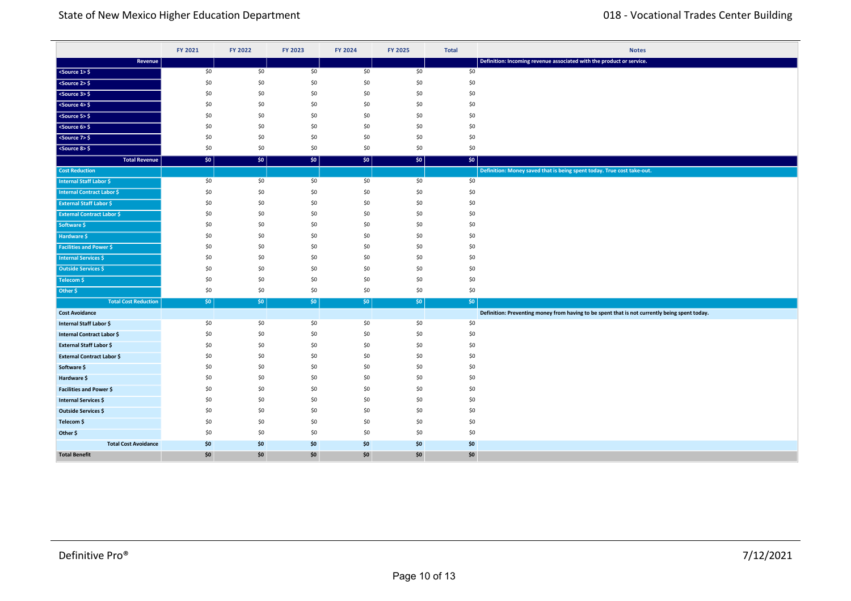|                                   | FY 2021 | FY 2022 | FY 2023 | FY 2024 | FY 2025 | <b>Total</b> | <b>Notes</b>                                                                                  |
|-----------------------------------|---------|---------|---------|---------|---------|--------------|-----------------------------------------------------------------------------------------------|
| Revenue                           |         |         |         |         |         |              | Definition: Incoming revenue associated with the product or service.                          |
| $<$ Source 1> $\frac{6}{7}$       | \$0     | \$0     | \$0     | \$0     | \$0     | \$0          |                                                                                               |
| $5$ ource $2>5$                   | \$0     | \$0     | \$0     | \$0     | \$0     | \$0          |                                                                                               |
| $<$ Source 3> $\frac{6}{5}$       | \$0     | \$0     | \$0     | \$0     | \$0     | \$0          |                                                                                               |
| $<$ Source 4> $\frac{6}{7}$       | \$0     | \$0     | \$0     | \$0     | \$0     | \$0          |                                                                                               |
| $<$ Source 5> $\frac{6}{5}$       | \$0     | \$0     | \$0     | \$0     | \$0     | \$0          |                                                                                               |
| $<$ Source 6> $\frac{6}{5}$       | \$0     | \$0     | \$0     | \$0     | \$0     | \$0          |                                                                                               |
| $<$ Source 7> $\frac{1}{2}$       | \$0     | \$0     | \$0     | \$0     | \$0     | \$0          |                                                                                               |
| $<$ Source 8> $\frac{6}{5}$       | \$0     | \$0     | \$0     | \$0     | \$0     | \$0          |                                                                                               |
| <b>Total Revenue</b>              | \$0     | \$0     | \$0\$   | \$0     | \$0     | \$0          |                                                                                               |
| <b>Cost Reduction</b>             |         |         |         |         |         |              | Definition: Money saved that is being spent today. True cost take-out.                        |
| <b>Internal Staff Labor \$</b>    | \$0     | \$0     | \$0     | \$0     | \$0     | \$0          |                                                                                               |
| Internal Contract Labor \$        | \$0     | \$0     | \$0     | \$0     | \$0     | \$0          |                                                                                               |
| <b>External Staff Labor \$</b>    | \$0     | \$0     | \$0     | \$0     | \$0     | \$0          |                                                                                               |
| <b>External Contract Labor \$</b> | \$0     | \$0     | \$0     | \$0     | \$0     | \$0          |                                                                                               |
| Software \$                       | \$0     | \$0     | \$0     | \$0     | \$0     | \$0          |                                                                                               |
| Hardware \$                       | \$0     | \$0     | \$0     | \$0     | \$0     | \$0          |                                                                                               |
| <b>Facilities and Power \$</b>    | \$0     | \$0     | \$0     | \$0     | \$0     | \$0          |                                                                                               |
| <b>Internal Services \$</b>       | \$0     | \$0     | \$0     | \$0     | \$0     | \$0          |                                                                                               |
| Outside Services \$               | \$0     | \$0     | \$0     | \$0     | \$0     | \$0          |                                                                                               |
| Telecom \$                        | \$0     | \$0     | \$0     | \$0     | \$0     | \$0          |                                                                                               |
| Other \$                          | \$0     | \$0     | \$0     | \$0     | \$0     | \$0          |                                                                                               |
| <b>Total Cost Reduction</b>       | \$0\$   | $ $ \$0 | $ $ \$0 | \$0     | \$0     | $ $ \$0      |                                                                                               |
| <b>Cost Avoidance</b>             |         |         |         |         |         |              | Definition: Preventing money from having to be spent that is not currently being spent today. |
| Internal Staff Labor \$           | \$0     | \$0     | \$0     | \$0     | \$0     | \$0          |                                                                                               |
| Internal Contract Labor \$        | \$0     | \$0     | \$0     | \$0     | \$0     | \$0          |                                                                                               |
| <b>External Staff Labor \$</b>    | \$0     | \$0     | \$0     | \$0     | \$0     | \$0          |                                                                                               |
| <b>External Contract Labor \$</b> | \$0     | \$0     | \$0     | \$0     | \$0     | \$0          |                                                                                               |
| Software \$                       | \$0     | \$0     | \$0     | \$0     | \$0     | \$0          |                                                                                               |
| Hardware \$                       | \$0     | \$0     | \$0     | \$0     | \$0     | \$0          |                                                                                               |
| <b>Facilities and Power \$</b>    | \$0     | \$0     | \$0     | \$0     | \$0     | \$0          |                                                                                               |
| Internal Services \$              | \$0     | \$0     | \$0     | \$0     | \$0     | \$0          |                                                                                               |
| Outside Services \$               | \$0     | \$0     | \$0     | \$0     | \$0     | \$0          |                                                                                               |
| Telecom \$                        | \$0     | \$0     | \$0     | \$0     | \$0     | \$0          |                                                                                               |
| Other \$                          | \$0     | \$0     | \$0     | \$0     | \$0     | \$0          |                                                                                               |
| <b>Total Cost Avoidance</b>       | \$0     | \$0     | \$0     | \$0     | \$0     | \$0          |                                                                                               |
| <b>Total Benefit</b>              | \$0     | \$0     | \$0     | \$0     | \$0     | \$0          |                                                                                               |

**Total Cost Reduction** \$0 \$0 \$0 \$0 \$0 \$0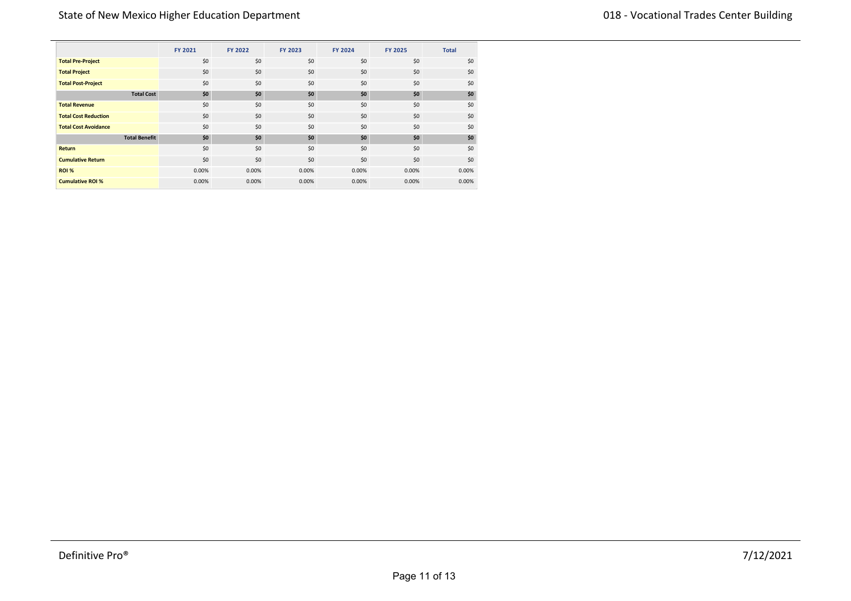|                             | <b>FY 2021</b> | FY 2022 | <b>FY 2023</b> | <b>FY 2024</b> | <b>FY 2025</b> | <b>Total</b> |
|-----------------------------|----------------|---------|----------------|----------------|----------------|--------------|
| <b>Total Pre-Project</b>    | \$0            | \$0     | \$0            | \$0            | \$0            | \$0          |
| <b>Total Project</b>        | \$0            | \$0     | \$0            | \$0            | \$0            | \$0          |
| <b>Total Post-Project</b>   | \$0            | \$0     | \$0            | \$0            | \$0            | \$0          |
| <b>Total Cost</b>           | \$0            | \$0     | \$0            | \$0            | \$0            | \$0          |
| <b>Total Revenue</b>        | \$0            | \$0     | \$0            | \$0            | \$0            | \$0          |
| <b>Total Cost Reduction</b> | \$0            | \$0     | \$0            | \$0            | \$0            | \$0          |
| <b>Total Cost Avoidance</b> | \$0            | \$0     | \$0            | \$0            | \$0            | \$0          |
| <b>Total Benefit</b>        | \$0            | \$0     | \$0            | \$0            | \$0            | \$0          |
| Return                      | \$0            | \$0     | \$0            | \$0            | \$0            | \$0          |
| <b>Cumulative Return</b>    | \$0            | \$0     | \$0            | \$0            | \$0            | \$0          |
| ROI %                       | 0.00%          | 0.00%   | 0.00%          | 0.00%          | 0.00%          | 0.00%        |
| <b>Cumulative ROI %</b>     | 0.00%          | 0.00%   | 0.00%          | 0.00%          | 0.00%          | 0.00%        |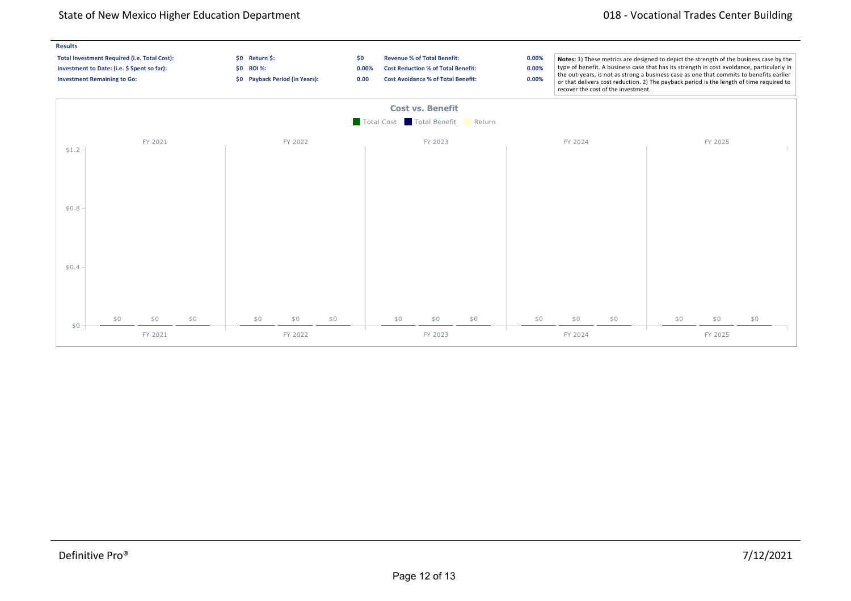### State of New Mexico Higher Education Department 018 - Vocational Trades Center Building